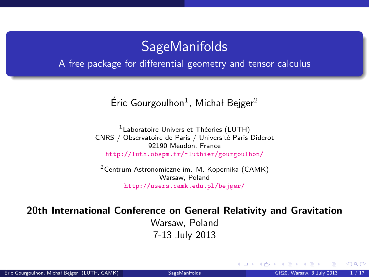### **SageManifolds**

#### A free package for differential geometry and tensor calculus

### Éric Gourgoulhon<sup>1</sup>, Michał Bejger<sup>2</sup>

 $1$ Laboratoire Univers et Théories (LUTH) CNRS / Observatoire de Paris / Université Paris Diderot 92190 Meudon, France <http://luth.obspm.fr/~luthier/gourgoulhon/>

 $2$ [Centrum Astronomiczne im. M. Kopernika \(CAMK\)](http://www.camk.edu.pl) Warsaw, Poland <http://users.camk.edu.pl/bejger/>

#### 20th International Conference on General Relativity and Gravitation

Warsaw, Poland 7-13 July 2013

<span id="page-0-0"></span> $\Omega$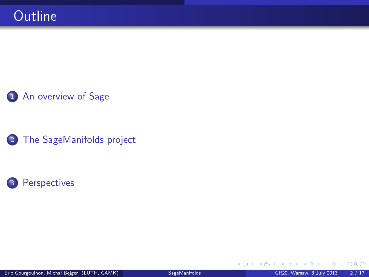### 1 [An overview of Sage](#page-2-0)

2 [The SageManifolds project](#page-5-0)



 $299$ 

**K ロ ⊁ K 伊 ⊁**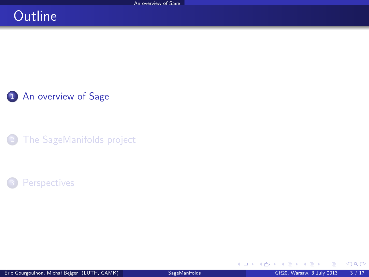## **Outline**

1 [An overview of Sage](#page-2-0)

[The SageManifolds project](#page-5-0)

### **[Perspectives](#page-15-0)**

<span id="page-2-0"></span> $\sim$  $-4$ 

**K ロ ▶ K 御 ▶ K 君**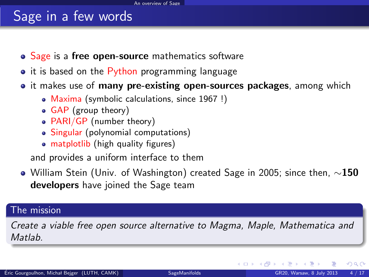## Sage in a few words

- Sage is a free open-source mathematics software
- it is based on the Python programming language
- it makes use of **many pre-existing open-sources packages**, among which
	- Maxima (symbolic calculations, since 1967 !)
	- GAP (group theory)
	- PARI/GP (number theory)
	- Singular (polynomial computations)
	- matplotlib (high quality figures)

and provides a uniform interface to them

 $\bullet$  William Stein (Univ. of Washington) created Sage in 2005; since then,  $\sim$ 150 developers have joined the Sage team

#### The mission

Create a viable free open source alternative to Magma, Maple, Mathematica and **Matlah** 

<span id="page-3-0"></span> $\Omega$ 

**K ロ ト K 何 ト K 目**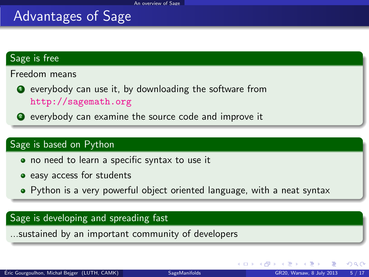## Advantages of Sage

#### Sage is free

Freedom means

- **•** everybody can use it, by downloading the software from <http://sagemath.org>
- <sup>2</sup> everybody can examine the source code and improve it

#### Sage is based on Python

- no need to learn a specific syntax to use it
- easy access for students
- Python is a very powerful object oriented language, with a neat syntax

#### Sage is developing and spreading fast

...sustained by an important community of developers

<span id="page-4-0"></span> $\Omega$ 

**K ロ ▶ K 伊 ▶ K 舌**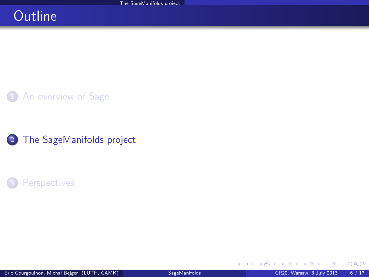## **Outline**

**1** [An overview of Sage](#page-2-0)

2 [The SageManifolds project](#page-5-0)

### **[Perspectives](#page-15-0)**

**K ロ ト K 伊 ト K** 

<span id="page-5-0"></span>э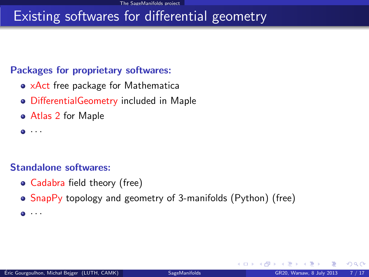## Existing softwares for differential geometry

### Packages for proprietary softwares:

- xAct free package for Mathematica
- DifferentialGeometry included in Maple
- Atlas 2 for Maple
- $\bullet$   $\cdot$   $\cdot$   $\cdot$

#### Standalone softwares:

- Cadabra field theory (free)
- SnapPy topology and geometry of 3-manifolds (Python) (free)
- $\bullet$   $\cdot$   $\cdot$

<span id="page-6-0"></span> $\Omega$ 

∢ □ ▶ ∢r<sup>□</sup> ▶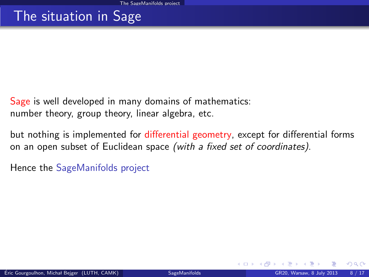## The situation in Sage

Sage is well developed in many domains of mathematics: number theory, group theory, linear algebra, etc.

but nothing is implemented for differential geometry, except for differential forms on an open subset of Euclidean space (with a fixed set of coordinates).

Hence the SageManifolds project

<span id="page-7-0"></span> $\Omega$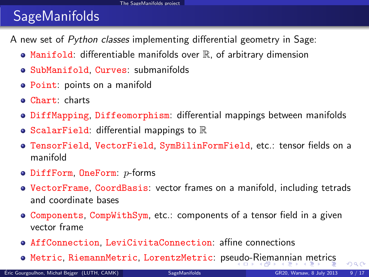# **SageManifolds**

A new set of Python classes implementing differential geometry in Sage:

- $\bullet$  Manifold: differentiable manifolds over  $\mathbb R$ , of arbitrary dimension
- SubManifold, Curves: submanifolds
- Point: points on a manifold
- Chart: charts
- **DiffMapping, Diffeomorphism: differential mappings between manifolds**
- ScalarField: differential mappings to  $\mathbb R$
- TensorField, VectorField, SymBilinFormField, etc.: tensor fields on a manifold
- $\bullet$  DiffForm, OneForm:  $p$ -forms
- VectorFrame, CoordBasis: vector frames on a manifold, including tetrads and coordinate bases
- Components, CompWithSym, etc.: components of a tensor field in a given vector frame
- AffConnection, LeviCivitaConnection: affine connections
- <span id="page-8-0"></span>**• Metric, RiemannMetric, LorentzMetric: pse[ud](#page-7-0)[o-R](#page-9-0)[i](#page-7-0)[em](#page-8-0)[a](#page-9-0)[n](#page-15-0)n[ia](#page-14-0)n[m](#page-5-0)[e](#page-14-0)[t](#page-15-0)[ric](#page-0-0)[s](#page-16-0)**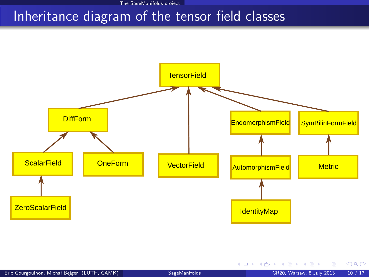[The SageManifolds project](#page-9-0)

### Inheritance diagram of the tensor field classes



画

<span id="page-9-0"></span> $299$ 

メロメ メ御き メミメ メミメ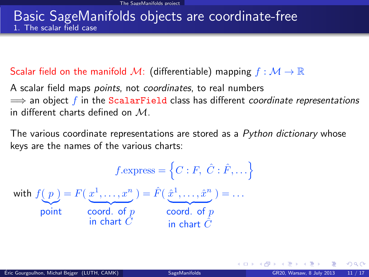### Basic SageManifolds objects are coordinate-free 1. The scalar field case

### Scalar field on the manifold M: (differentiable) mapping  $f : \mathcal{M} \to \mathbb{R}$

A scalar field maps *points*, not *coordinates*, to real numbers  $\implies$  an object f in the ScalarField class has different coordinate representations in different charts defined on  $M$ .

The various coordinate representations are stored as a Python dictionary whose keys are the names of the various charts:

$$
f.\text{express} = \left\{ C : F, \ \hat{C} : \hat{F}, \dots \right\}
$$
\n
$$
\text{with } f(p) = F(\underbrace{x^1, \dots, x^n}_{\text{point}}) = \hat{F}(\underbrace{\hat{x}^1, \dots, \hat{x}^n}_{\text{coord. of } p}) = \dots
$$
\n
$$
\underbrace{\text{word. of } p}_{\text{in chart } \hat{C}}
$$

<span id="page-10-0"></span> $\Omega$ 

**K ロ ト K 何 ト K ヨ ト K**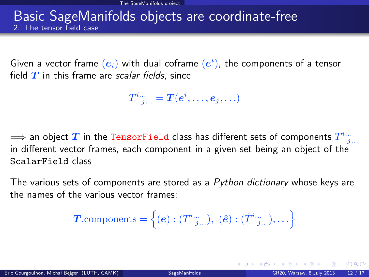### Basic SageManifolds objects are coordinate-free 2. The tensor field case

Given a vector frame  $\left(\boldsymbol{e}_i\right)$  with dual coframe  $\left(\boldsymbol{e}^i\right)$ , the components of a tensor field  $T$  in this frame are scalar fields, since

 $T^i{}_{j...}^{\ldots}= \bm{T}(\bm{e}^i,\ldots,\bm{e}_j,\ldots)$ 

 $\Longrightarrow$  an object  $T$  in the TensorField class has different sets of components  $T^{i...}_{~~j...}$ in different vector frames, each component in a given set being an object of the ScalarField class

The various sets of components are stored as a  $P$ ython dictionary whose keys are the names of the various vector frames:

$$
\boldsymbol{T}.\text{components} = \left\{ (\boldsymbol{e}) : (T^{i}{}^{...}_{j...}), \ (\boldsymbol{\hat{e}}) : (\hat{T}^{i}{}^{...}_{j...}), \ldots \right\}
$$

<span id="page-11-0"></span> $\Omega$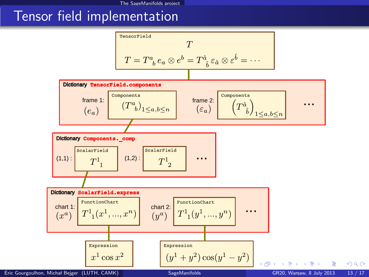### Tensor field implementation

<span id="page-12-0"></span>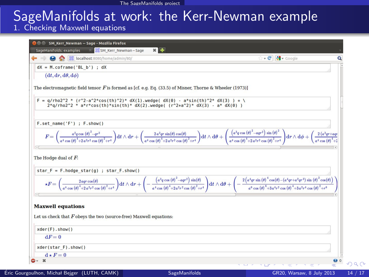# SageManifolds at work: the Kerr-Newman example

1. Checking Maxwell equations

<span id="page-13-0"></span>

|                                                                                                                                                                                  | $\cdot$ $\circ$ $\cdot$ $\bullet$ Google                                                                                                                                                                                                                                                                                                                                                                                                                       |
|----------------------------------------------------------------------------------------------------------------------------------------------------------------------------------|----------------------------------------------------------------------------------------------------------------------------------------------------------------------------------------------------------------------------------------------------------------------------------------------------------------------------------------------------------------------------------------------------------------------------------------------------------------|
| $dX = M.\text{coframe('BL b')}; dX$                                                                                                                                              |                                                                                                                                                                                                                                                                                                                                                                                                                                                                |
| $(dt, dr, d\theta, d\phi)$                                                                                                                                                       |                                                                                                                                                                                                                                                                                                                                                                                                                                                                |
| The electromagnetic field tensor $F$ is formed as [cf. e.g. Eq. (33.5) of Misner, Thorne & Wheeler (1973)]                                                                       |                                                                                                                                                                                                                                                                                                                                                                                                                                                                |
|                                                                                                                                                                                  |                                                                                                                                                                                                                                                                                                                                                                                                                                                                |
| $F = q/rho2^2 * (r^2-a^2*cos(th)^2)*dX(1)$ .wedge(dX(0) - a*sin(th)^2* dX(3) ) + \<br>$2 * q$ /rho $2^2 * a * r * cos(th) * sin(th) * dX(2)$ .wedge((r^2+a^2)* dX(3) - a* dX(0)) |                                                                                                                                                                                                                                                                                                                                                                                                                                                                |
|                                                                                                                                                                                  |                                                                                                                                                                                                                                                                                                                                                                                                                                                                |
| F.set name('F') ; F.show()                                                                                                                                                       |                                                                                                                                                                                                                                                                                                                                                                                                                                                                |
|                                                                                                                                                                                  |                                                                                                                                                                                                                                                                                                                                                                                                                                                                |
|                                                                                                                                                                                  | $F=\bigg(\frac{a^2q\cos\left(\theta\right)^2-qr^2}{a^4\cos\left(\theta\right)^4+2a^2r^2\cos\left(\theta\right)^2+r^4}\bigg)\mathrm{d}t\wedge\mathrm{d}r+\bigg(\frac{2\,a^2q\sin\left(\theta\cos\left(\theta\right)\right)}{a^4\cos\left(\theta\right)^4+2a^2r^2\cos\left(\theta\right)^2+r^4}\bigg)\mathrm{d}t\wedge\mathrm{d}\theta+\bigg(\frac{\big(a^2q\cos\left(\theta\right)^2-aqr^2\big)\sin\left(\theta\right)^2}{a^4\cos\left(\theta\right)^4+2a^2r^2$ |
|                                                                                                                                                                                  |                                                                                                                                                                                                                                                                                                                                                                                                                                                                |
|                                                                                                                                                                                  |                                                                                                                                                                                                                                                                                                                                                                                                                                                                |
| The Hodge dual of $F$ :                                                                                                                                                          |                                                                                                                                                                                                                                                                                                                                                                                                                                                                |
| star $F = F$ .hodge star(g) ; star $F$ .show()                                                                                                                                   |                                                                                                                                                                                                                                                                                                                                                                                                                                                                |
|                                                                                                                                                                                  |                                                                                                                                                                                                                                                                                                                                                                                                                                                                |
|                                                                                                                                                                                  |                                                                                                                                                                                                                                                                                                                                                                                                                                                                |
|                                                                                                                                                                                  |                                                                                                                                                                                                                                                                                                                                                                                                                                                                |
|                                                                                                                                                                                  | $\star F=\bigg(\frac{2\mathit{a} \varphi\mathit{c} \cos\left(\theta\right)}{\mathit{a}^{4}\mathit{c} \cos\left(\theta\right)^{4}+\mathit{a}^{2}r^{2} \cos\left(\theta\right)^{2}+\mathit{r}^{4}}\bigg)\mathrm{d}t\wedge\mathrm{d}r+\bigg(-\frac{\big(\mathit{a}^{3}\mathit{q}\mathit{c} \cos\left(\theta\right)^{2}-\mathit{a} \varphi\mathit{r}^{2}\big)\sin\left(\theta\right)}{\mathit{a}^{4}\mathit{c} \cos\left(\theta\right)^{4}+2\mathit{a}^{2}r^{2}$   |
|                                                                                                                                                                                  |                                                                                                                                                                                                                                                                                                                                                                                                                                                                |
| <b>Maxwell equations</b>                                                                                                                                                         |                                                                                                                                                                                                                                                                                                                                                                                                                                                                |
| Let us check that $F$ obeys the two (source-free) Maxwell equations:                                                                                                             |                                                                                                                                                                                                                                                                                                                                                                                                                                                                |
| xder(F) . show()                                                                                                                                                                 |                                                                                                                                                                                                                                                                                                                                                                                                                                                                |
| $dF = 0$                                                                                                                                                                         |                                                                                                                                                                                                                                                                                                                                                                                                                                                                |
| xder(star F).show()                                                                                                                                                              |                                                                                                                                                                                                                                                                                                                                                                                                                                                                |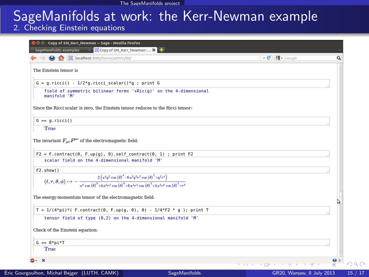# SageManifolds at work: the Kerr-Newman example

### 2. Checking Einstein equations

<span id="page-14-0"></span>

| ocalhost:8080/home/admin/86/                                                                                                                                                                                                                                            | → C B v Google |
|-------------------------------------------------------------------------------------------------------------------------------------------------------------------------------------------------------------------------------------------------------------------------|----------------|
| The Einstein tensor is                                                                                                                                                                                                                                                  |                |
| $G = g.ricci() - 1/2*g.ricci scalar() *g ; print G$                                                                                                                                                                                                                     |                |
| field of symmetric bilinear forms '+Ric(g)' on the 4-dimensional<br>manifold 'M'                                                                                                                                                                                        |                |
| Since the Ricci scalar is zero, the Einstein tensor reduces to the Ricci tensor:                                                                                                                                                                                        |                |
| $G == q.ricci()$                                                                                                                                                                                                                                                        |                |
| True                                                                                                                                                                                                                                                                    |                |
| The invariant $F_{\mu\nu}F^{\mu\nu}$ of the electromagnetic field:                                                                                                                                                                                                      |                |
| $F2 = F.\text{contract}(0, F.\text{up}(q), 0).$ self contract(0, 1) ; print F2<br>scalar field on the 4-dimensional manifold 'M'                                                                                                                                        |                |
| F2.show()                                                                                                                                                                                                                                                               |                |
| $(t,r,\theta,\phi)\mapsto-\frac{2\left(a^4q^2\cos\left(\theta\right)^4-6\,a^2q^2r^2\cos\left(\theta\right)^2+q^2r^4\right)}{a^8\cos\left(\theta\right)^8+4\,a^6r^2\cos\left(\theta\right)^6+6\,a^4r^4\cos\left(\theta\right)^4+4\,a^2r^6\cos\left(\theta\right)^2+r^8}$ |                |
| The energy-momentum tensor of the electromagnetic field:                                                                                                                                                                                                                |                |
| T = $1/(4*pi)*($ F.contract(0, F.up(g, 0), 0) - $1/4*F2 * q$ ); print T                                                                                                                                                                                                 |                |
| tensor field of type (0,2) on the 4-dimensional manifold 'M'                                                                                                                                                                                                            |                |
| Check of the Einstein equation:                                                                                                                                                                                                                                         |                |
| $G == 8 * pi * T$                                                                                                                                                                                                                                                       |                |
| True                                                                                                                                                                                                                                                                    |                |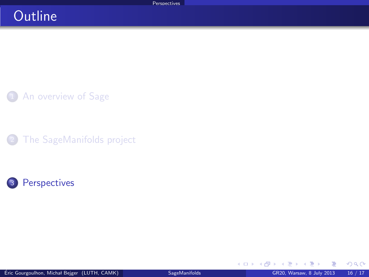### **Outline**

1 [An overview of Sage](#page-2-0)

[The SageManifolds project](#page-5-0)



<span id="page-15-0"></span> $\triangleright$   $\rightarrow$   $\equiv$ 

**K ロ ▶ K 御 ▶ K 君**